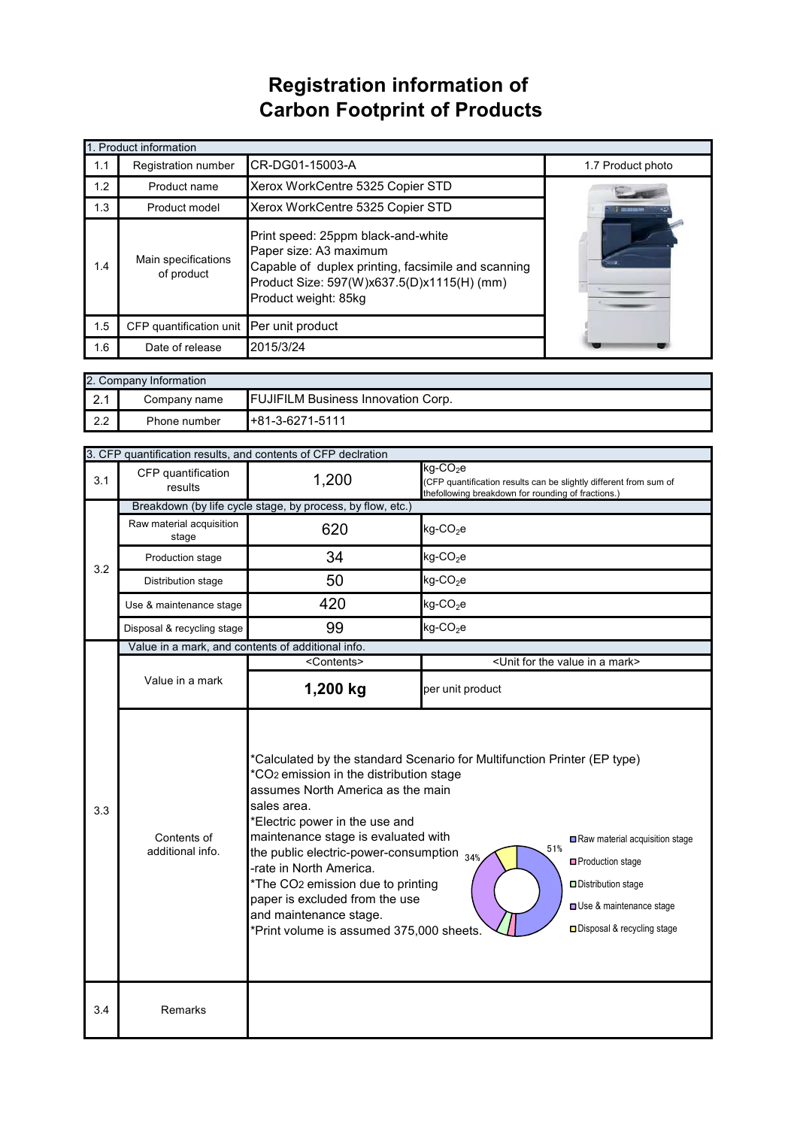## **Registration information of Carbon Footprint of Products**

| 1. Product information |                                   |                                                                                                                                                                                          |                   |  |
|------------------------|-----------------------------------|------------------------------------------------------------------------------------------------------------------------------------------------------------------------------------------|-------------------|--|
| 1.1                    | Registration number               | CR-DG01-15003-A                                                                                                                                                                          | 1.7 Product photo |  |
| 1.2                    | Product name                      | Xerox WorkCentre 5325 Copier STD                                                                                                                                                         |                   |  |
| 1.3                    | Product model                     | Xerox WorkCentre 5325 Copier STD                                                                                                                                                         |                   |  |
| 1.4                    | Main specifications<br>of product | Print speed: 25ppm black-and-white<br>Paper size: A3 maximum<br>Capable of duplex printing, facsimile and scanning<br>Product Size: 597(W)x637.5(D)x1115(H) (mm)<br>Product weight: 85kg |                   |  |
| 1.5                    | CFP quantification unit           | Per unit product                                                                                                                                                                         |                   |  |
| 1.6                    | Date of release                   | 2015/3/24                                                                                                                                                                                |                   |  |

| 2. Company Information |              |                                           |  |  |  |
|------------------------|--------------|-------------------------------------------|--|--|--|
| 2.1                    | Company name | <b>FUJIFILM Business Innovation Corp.</b> |  |  |  |
| 2.2                    | Phone number | $+81-3-6271-5111$                         |  |  |  |

|     | 3. CFP quantification results, and contents of CFP declration |                                                                                                                                                                                                                                                                                                                                                                                                                                                                                                                                                                                                                                         |                                                                                                                                                    |  |  |
|-----|---------------------------------------------------------------|-----------------------------------------------------------------------------------------------------------------------------------------------------------------------------------------------------------------------------------------------------------------------------------------------------------------------------------------------------------------------------------------------------------------------------------------------------------------------------------------------------------------------------------------------------------------------------------------------------------------------------------------|----------------------------------------------------------------------------------------------------------------------------------------------------|--|--|
| 3.1 | CFP quantification<br>results                                 | 1,200                                                                                                                                                                                                                                                                                                                                                                                                                                                                                                                                                                                                                                   | $kg$ -CO <sub>2</sub> e<br>(CFP quantification results can be slightly different from sum of<br>thefollowing breakdown for rounding of fractions.) |  |  |
|     |                                                               | Breakdown (by life cycle stage, by process, by flow, etc.)                                                                                                                                                                                                                                                                                                                                                                                                                                                                                                                                                                              |                                                                                                                                                    |  |  |
| 3.2 | Raw material acquisition<br>stage                             | 620                                                                                                                                                                                                                                                                                                                                                                                                                                                                                                                                                                                                                                     | $kg$ -CO <sub>2</sub> e                                                                                                                            |  |  |
|     | Production stage                                              | 34                                                                                                                                                                                                                                                                                                                                                                                                                                                                                                                                                                                                                                      | $kg$ -CO <sub>2</sub> e                                                                                                                            |  |  |
|     | Distribution stage                                            | 50                                                                                                                                                                                                                                                                                                                                                                                                                                                                                                                                                                                                                                      | $kg$ -CO <sub>2</sub> e                                                                                                                            |  |  |
|     | Use & maintenance stage                                       | 420                                                                                                                                                                                                                                                                                                                                                                                                                                                                                                                                                                                                                                     | $kg$ -CO <sub>2</sub> e                                                                                                                            |  |  |
|     | Disposal & recycling stage                                    | 99                                                                                                                                                                                                                                                                                                                                                                                                                                                                                                                                                                                                                                      | $kg$ -CO <sub>2</sub> e                                                                                                                            |  |  |
|     | Value in a mark, and contents of additional info.             |                                                                                                                                                                                                                                                                                                                                                                                                                                                                                                                                                                                                                                         |                                                                                                                                                    |  |  |
|     |                                                               | <contents></contents>                                                                                                                                                                                                                                                                                                                                                                                                                                                                                                                                                                                                                   | <unit a="" for="" in="" mark="" the="" value=""></unit>                                                                                            |  |  |
| 3.3 | Value in a mark                                               | 1,200 kg                                                                                                                                                                                                                                                                                                                                                                                                                                                                                                                                                                                                                                | per unit product                                                                                                                                   |  |  |
|     | Contents of<br>additional info.                               | *Calculated by the standard Scenario for Multifunction Printer (EP type)<br>*CO <sub>2</sub> emission in the distribution stage<br>assumes North America as the main<br>sales area.<br>*Electric power in the use and<br>maintenance stage is evaluated with<br>Raw material acquisition stage<br>51%<br>the public electric-power-consumption $_{34\%}$<br>□ Production stage<br>-rate in North America.<br>*The CO2 emission due to printing<br>Distribution stage<br>paper is excluded from the use<br>Use & maintenance stage<br>and maintenance stage.<br>□ Disposal & recycling stage<br>*Print volume is assumed 375,000 sheets. |                                                                                                                                                    |  |  |
| 3.4 | Remarks                                                       |                                                                                                                                                                                                                                                                                                                                                                                                                                                                                                                                                                                                                                         |                                                                                                                                                    |  |  |